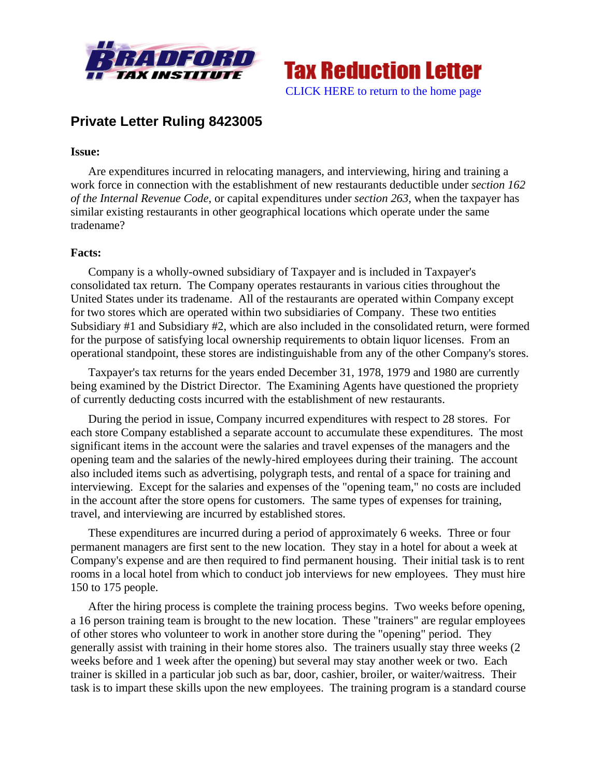



# **Private Letter Ruling 8423005**

#### **Issue:**

Are expenditures incurred in relocating managers, and interviewing, hiring and training a work force in connection with the establishment of new restaurants deductible under *section 162 of the Internal Revenue Code*, or capital expenditures under *section 263*, when the taxpayer has similar existing restaurants in other geographical locations which operate under the same tradename?

#### **Facts:**

Company is a wholly-owned subsidiary of Taxpayer and is included in Taxpayer's consolidated tax return. The Company operates restaurants in various cities throughout the United States under its tradename. All of the restaurants are operated within Company except for two stores which are operated within two subsidiaries of Company. These two entities Subsidiary #1 and Subsidiary #2, which are also included in the consolidated return, were formed for the purpose of satisfying local ownership requirements to obtain liquor licenses. From an operational standpoint, these stores are indistinguishable from any of the other Company's stores.

Taxpayer's tax returns for the years ended December 31, 1978, 1979 and 1980 are currently being examined by the District Director. The Examining Agents have questioned the propriety of currently deducting costs incurred with the establishment of new restaurants.

During the period in issue, Company incurred expenditures with respect to 28 stores. For each store Company established a separate account to accumulate these expenditures. The most significant items in the account were the salaries and travel expenses of the managers and the opening team and the salaries of the newly-hired employees during their training. The account also included items such as advertising, polygraph tests, and rental of a space for training and interviewing. Except for the salaries and expenses of the "opening team," no costs are included in the account after the store opens for customers. The same types of expenses for training, travel, and interviewing are incurred by established stores.

These expenditures are incurred during a period of approximately 6 weeks. Three or four permanent managers are first sent to the new location. They stay in a hotel for about a week at Company's expense and are then required to find permanent housing. Their initial task is to rent rooms in a local hotel from which to conduct job interviews for new employees. They must hire 150 to 175 people.

After the hiring process is complete the training process begins. Two weeks before opening, a 16 person training team is brought to the new location. These "trainers" are regular employees of other stores who volunteer to work in another store during the "opening" period. They generally assist with training in their home stores also. The trainers usually stay three weeks (2 weeks before and 1 week after the opening) but several may stay another week or two. Each trainer is skilled in a particular job such as bar, door, cashier, broiler, or waiter/waitress. Their task is to impart these skills upon the new employees. The training program is a standard course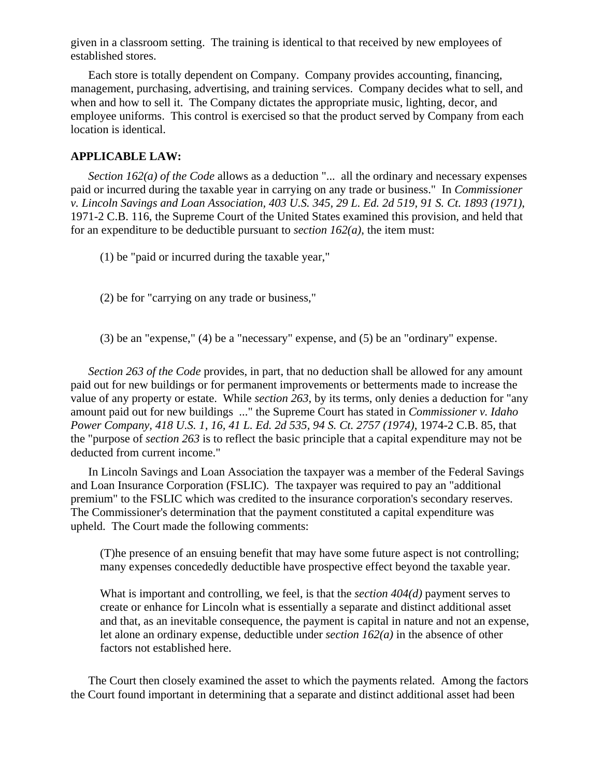given in a classroom setting. The training is identical to that received by new employees of established stores.

Each store is totally dependent on Company. Company provides accounting, financing, management, purchasing, advertising, and training services. Company decides what to sell, and when and how to sell it. The Company dictates the appropriate music, lighting, decor, and employee uniforms. This control is exercised so that the product served by Company from each location is identical.

## **APPLICABLE LAW:**

*Section 162(a) of the Code* allows as a deduction "... all the ordinary and necessary expenses paid or incurred during the taxable year in carrying on any trade or business." In *Commissioner v. Lincoln Savings and Loan Association, 403 U.S. 345, 29 L. Ed. 2d 519, 91 S. Ct. 1893 (1971)*, 1971-2 C.B. 116, the Supreme Court of the United States examined this provision, and held that for an expenditure to be deductible pursuant to *section 162(a)*, the item must:

(1) be "paid or incurred during the taxable year,"

(2) be for "carrying on any trade or business,"

(3) be an "expense," (4) be a "necessary" expense, and (5) be an "ordinary" expense.

*Section 263 of the Code* provides, in part, that no deduction shall be allowed for any amount paid out for new buildings or for permanent improvements or betterments made to increase the value of any property or estate. While *section 263*, by its terms, only denies a deduction for "any amount paid out for new buildings ..." the Supreme Court has stated in *Commissioner v. Idaho Power Company, 418 U.S. 1, 16, 41 L. Ed. 2d 535, 94 S. Ct. 2757 (1974)*, 1974-2 C.B. 85, that the "purpose of *section 263* is to reflect the basic principle that a capital expenditure may not be deducted from current income."

In Lincoln Savings and Loan Association the taxpayer was a member of the Federal Savings and Loan Insurance Corporation (FSLIC). The taxpayer was required to pay an "additional premium" to the FSLIC which was credited to the insurance corporation's secondary reserves. The Commissioner's determination that the payment constituted a capital expenditure was upheld. The Court made the following comments:

(T)he presence of an ensuing benefit that may have some future aspect is not controlling; many expenses concededly deductible have prospective effect beyond the taxable year.

What is important and controlling, we feel, is that the *section 404(d)* payment serves to create or enhance for Lincoln what is essentially a separate and distinct additional asset and that, as an inevitable consequence, the payment is capital in nature and not an expense, let alone an ordinary expense, deductible under *section 162(a)* in the absence of other factors not established here.

The Court then closely examined the asset to which the payments related. Among the factors the Court found important in determining that a separate and distinct additional asset had been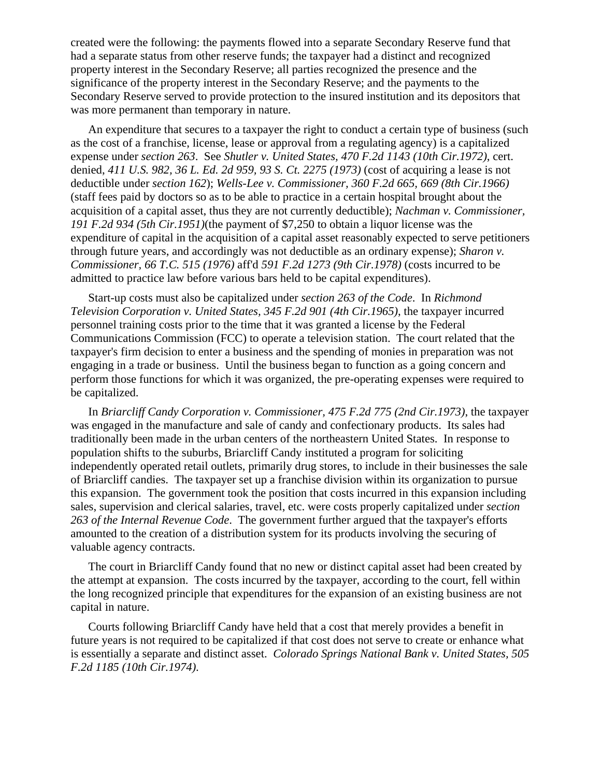created were the following: the payments flowed into a separate Secondary Reserve fund that had a separate status from other reserve funds; the taxpayer had a distinct and recognized property interest in the Secondary Reserve; all parties recognized the presence and the significance of the property interest in the Secondary Reserve; and the payments to the Secondary Reserve served to provide protection to the insured institution and its depositors that was more permanent than temporary in nature.

An expenditure that secures to a taxpayer the right to conduct a certain type of business (such as the cost of a franchise, license, lease or approval from a regulating agency) is a capitalized expense under *section 263*. See *Shutler v. United States, 470 F.2d 1143 (10th Cir.1972)*, cert. denied, *411 U.S. 982, 36 L. Ed. 2d 959, 93 S. Ct. 2275 (1973)* (cost of acquiring a lease is not deductible under *section 162*); *Wells-Lee v. Commissioner, 360 F.2d 665, 669 (8th Cir.1966)* (staff fees paid by doctors so as to be able to practice in a certain hospital brought about the acquisition of a capital asset, thus they are not currently deductible); *Nachman v. Commissioner, 191 F.2d 934 (5th Cir.1951)*(the payment of \$7,250 to obtain a liquor license was the expenditure of capital in the acquisition of a capital asset reasonably expected to serve petitioners through future years, and accordingly was not deductible as an ordinary expense); *Sharon v. Commissioner, 66 T.C. 515 (1976)* aff'd *591 F.2d 1273 (9th Cir.1978)* (costs incurred to be admitted to practice law before various bars held to be capital expenditures).

Start-up costs must also be capitalized under *section 263 of the Code*. In *Richmond Television Corporation v. United States, 345 F.2d 901 (4th Cir.1965)*, the taxpayer incurred personnel training costs prior to the time that it was granted a license by the Federal Communications Commission (FCC) to operate a television station. The court related that the taxpayer's firm decision to enter a business and the spending of monies in preparation was not engaging in a trade or business. Until the business began to function as a going concern and perform those functions for which it was organized, the pre-operating expenses were required to be capitalized.

In *Briarcliff Candy Corporation v. Commissioner, 475 F.2d 775 (2nd Cir.1973)*, the taxpayer was engaged in the manufacture and sale of candy and confectionary products. Its sales had traditionally been made in the urban centers of the northeastern United States. In response to population shifts to the suburbs, Briarcliff Candy instituted a program for soliciting independently operated retail outlets, primarily drug stores, to include in their businesses the sale of Briarcliff candies. The taxpayer set up a franchise division within its organization to pursue this expansion. The government took the position that costs incurred in this expansion including sales, supervision and clerical salaries, travel, etc. were costs properly capitalized under *section 263 of the Internal Revenue Code*. The government further argued that the taxpayer's efforts amounted to the creation of a distribution system for its products involving the securing of valuable agency contracts.

The court in Briarcliff Candy found that no new or distinct capital asset had been created by the attempt at expansion. The costs incurred by the taxpayer, according to the court, fell within the long recognized principle that expenditures for the expansion of an existing business are not capital in nature.

Courts following Briarcliff Candy have held that a cost that merely provides a benefit in future years is not required to be capitalized if that cost does not serve to create or enhance what is essentially a separate and distinct asset. *Colorado Springs National Bank v. United States, 505 F.2d 1185 (10th Cir.1974)*.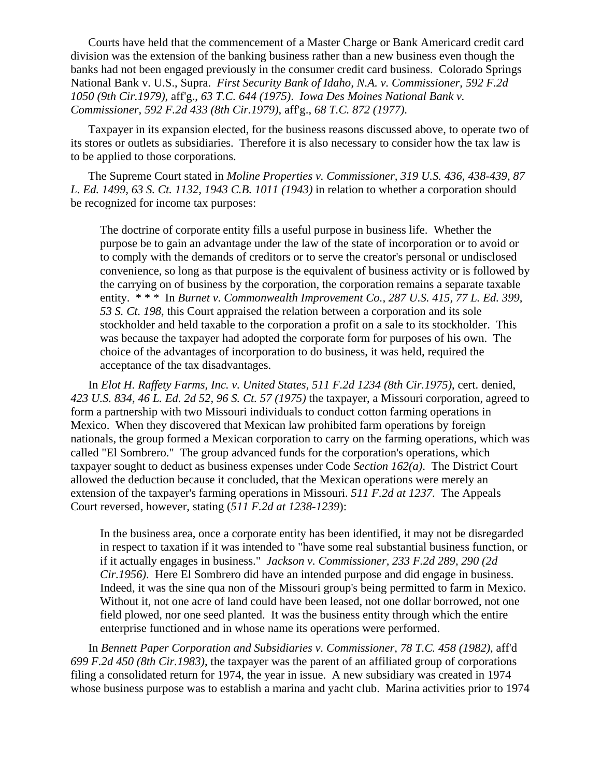Courts have held that the commencement of a Master Charge or Bank Americard credit card division was the extension of the banking business rather than a new business even though the banks had not been engaged previously in the consumer credit card business. Colorado Springs National Bank v. U.S., Supra. *First Security Bank of Idaho, N.A. v. Commissioner, 592 F.2d 1050 (9th Cir.1979)*, aff'g., *63 T.C. 644 (1975)*. *Iowa Des Moines National Bank v. Commissioner, 592 F.2d 433 (8th Cir.1979)*, aff'g., *68 T.C. 872 (1977)*.

Taxpayer in its expansion elected, for the business reasons discussed above, to operate two of its stores or outlets as subsidiaries. Therefore it is also necessary to consider how the tax law is to be applied to those corporations.

The Supreme Court stated in *Moline Properties v. Commissioner, 319 U.S. 436, 438-439, 87 L. Ed. 1499, 63 S. Ct. 1132, 1943 C.B. 1011 (1943)* in relation to whether a corporation should be recognized for income tax purposes:

The doctrine of corporate entity fills a useful purpose in business life. Whether the purpose be to gain an advantage under the law of the state of incorporation or to avoid or to comply with the demands of creditors or to serve the creator's personal or undisclosed convenience, so long as that purpose is the equivalent of business activity or is followed by the carrying on of business by the corporation, the corporation remains a separate taxable entity. \* \* \* In *Burnet v. Commonwealth Improvement Co., 287 U.S. 415, 77 L. Ed. 399, 53 S. Ct. 198*, this Court appraised the relation between a corporation and its sole stockholder and held taxable to the corporation a profit on a sale to its stockholder. This was because the taxpayer had adopted the corporate form for purposes of his own. The choice of the advantages of incorporation to do business, it was held, required the acceptance of the tax disadvantages.

In *Elot H. Raffety Farms, Inc. v. United States, 511 F.2d 1234 (8th Cir.1975)*, cert. denied, *423 U.S. 834, 46 L. Ed. 2d 52, 96 S. Ct. 57 (1975)* the taxpayer, a Missouri corporation, agreed to form a partnership with two Missouri individuals to conduct cotton farming operations in Mexico. When they discovered that Mexican law prohibited farm operations by foreign nationals, the group formed a Mexican corporation to carry on the farming operations, which was called "El Sombrero." The group advanced funds for the corporation's operations, which taxpayer sought to deduct as business expenses under Code *Section 162(a)*. The District Court allowed the deduction because it concluded, that the Mexican operations were merely an extension of the taxpayer's farming operations in Missouri. *511 F.2d at 1237*. The Appeals Court reversed, however, stating (*511 F.2d at 1238-1239*):

In the business area, once a corporate entity has been identified, it may not be disregarded in respect to taxation if it was intended to "have some real substantial business function, or if it actually engages in business." *Jackson v. Commissioner, 233 F.2d 289, 290 (2d Cir.1956)*. Here El Sombrero did have an intended purpose and did engage in business. Indeed, it was the sine qua non of the Missouri group's being permitted to farm in Mexico. Without it, not one acre of land could have been leased, not one dollar borrowed, not one field plowed, nor one seed planted. It was the business entity through which the entire enterprise functioned and in whose name its operations were performed.

In *Bennett Paper Corporation and Subsidiaries v. Commissioner, 78 T.C. 458 (1982)*, aff'd *699 F.2d 450 (8th Cir.1983)*, the taxpayer was the parent of an affiliated group of corporations filing a consolidated return for 1974, the year in issue. A new subsidiary was created in 1974 whose business purpose was to establish a marina and yacht club. Marina activities prior to 1974